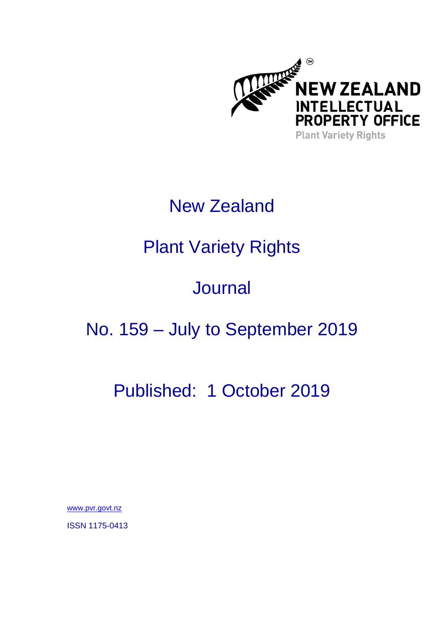

## New Zealand

# Plant Variety Rights

## **Journal**

# No. 159 – July to September 2019

## Published: 1 October 2019

[www.pvr.govt.nz](http://www.pvr.govt.nz/)

ISSN 1175-0413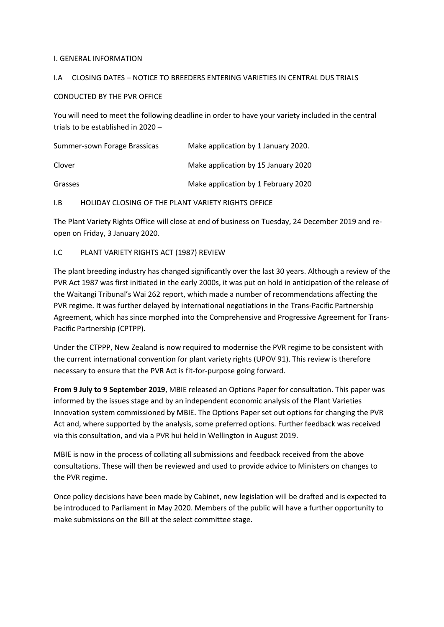#### I. GENERAL INFORMATION

#### I.A CLOSING DATES – NOTICE TO BREEDERS ENTERING VARIETIES IN CENTRAL DUS TRIALS

#### CONDUCTED BY THE PVR OFFICE

You will need to meet the following deadline in order to have your variety included in the central trials to be established in 2020 –

| Summer-sown Forage Brassicas | Make application by 1 January 2020. |
|------------------------------|-------------------------------------|
| Clover                       | Make application by 15 January 2020 |
| Grasses                      | Make application by 1 February 2020 |

I.B HOLIDAY CLOSING OF THE PLANT VARIETY RIGHTS OFFICE

The Plant Variety Rights Office will close at end of business on Tuesday, 24 December 2019 and reopen on Friday, 3 January 2020.

#### I.C PLANT VARIETY RIGHTS ACT (1987) REVIEW

The plant breeding industry has changed significantly over the last 30 years. Although a review of the PVR Act 1987 was first initiated in the early 2000s, it was put on hold in anticipation of the release of the Waitangi Tribunal's Wai 262 report, which made a number of recommendations affecting the PVR regime. It was further delayed by international negotiations in the Trans-Pacific Partnership Agreement, which has since morphed into the Comprehensive and Progressive Agreement for Trans-Pacific Partnership (CPTPP).

Under the CTPPP, New Zealand is now required to modernise the PVR regime to be consistent with the current international convention for plant variety rights (UPOV 91). This review is therefore necessary to ensure that the PVR Act is fit-for-purpose going forward.

**From 9 July to 9 September 2019**, MBIE released an Options Paper for consultation. This paper was informed by the issues stage and by an independent economic analysis of the Plant Varieties Innovation system commissioned by MBIE. The Options Paper set out options for changing the PVR Act and, where supported by the analysis, some preferred options. Further feedback was received via this consultation, and via a PVR hui held in Wellington in August 2019.

MBIE is now in the process of collating all submissions and feedback received from the above consultations. These will then be reviewed and used to provide advice to Ministers on changes to the PVR regime.

Once policy decisions have been made by Cabinet, new legislation will be drafted and is expected to be introduced to Parliament in May 2020. Members of the public will have a further opportunity to make submissions on the Bill at the select committee stage.